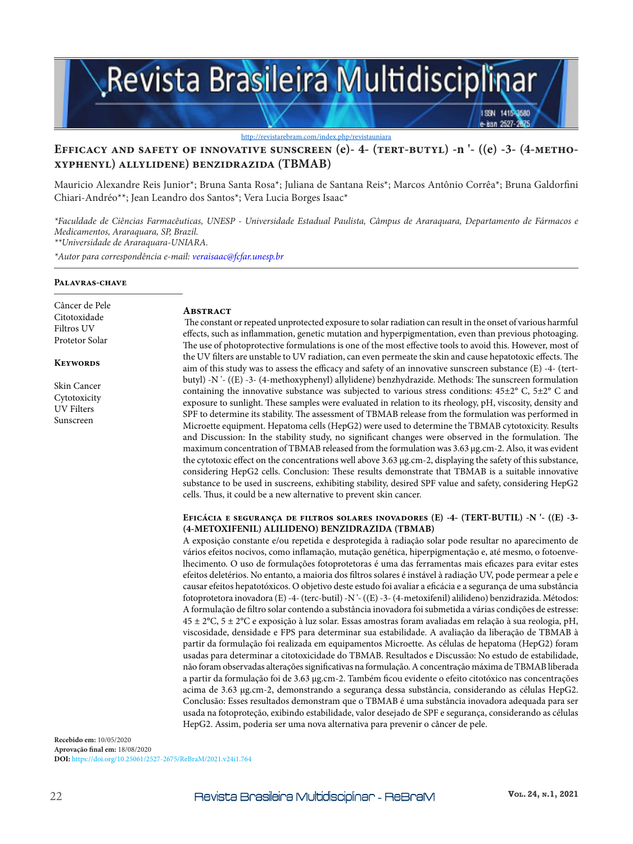

# **Efficacy and safety of innovative sunscreen (e)- 4- (tert-butyl) -n '- ((e) -3- (4-methoxyphenyl) allylidene) benzidrazida (TBMAB)**

Mauricio Alexandre Reis Junior\*; Bruna Santa Rosa\*; Juliana de Santana Reis\*; Marcos Antônio Corrêa\*; Bruna Galdorfini Chiari-Andréo\*\*; Jean Leandro dos Santos\*; Vera Lucia Borges Isaac\*

*\*Faculdade de Ciências Farmacêuticas, UNESP - Universidade Estadual Paulista, Câmpus de Araraquara, Departamento de Fármacos e Medicamentos, Araraquara, SP, Brazil.*

*\*\*Universidade de Araraquara-UNIARA.*

*\*Autor para correspondência e-mail: veraisaac@fcfar.unesp.br*

#### **Palavras-chave**

Câncer de Pele Citotoxidade Filtros UV Protetor Solar

#### **Keywords**

Skin Cancer Cytotoxicity UV Filters Sunscreen

#### **ABSTRACT**

The constant or repeated unprotected exposure to solar radiation can result in the onset of various harmful effects, such as inflammation, genetic mutation and hyperpigmentation, even than previous photoaging. The use of photoprotective formulations is one of the most effective tools to avoid this. However, most of the UV filters are unstable to UV radiation, can even permeate the skin and cause hepatotoxic effects. The aim of this study was to assess the efficacy and safety of an innovative sunscreen substance (E) -4- (tertbutyl) -N '- ((E) -3- (4-methoxyphenyl) allylidene) benzhydrazide. Methods: The sunscreen formulation containing the innovative substance was subjected to various stress conditions:  $45\pm2^{\circ}$  C,  $5\pm2^{\circ}$  C and exposure to sunlight. These samples were evaluated in relation to its rheology, pH, viscosity, density and SPF to determine its stability. The assessment of TBMAB release from the formulation was performed in Microette equipment. Hepatoma cells (HepG2) were used to determine the TBMAB cytotoxicity. Results and Discussion: In the stability study, no significant changes were observed in the formulation. The maximum concentration of TBMAB released from the formulation was 3.63 µg.cm-2. Also, it was evident the cytotoxic effect on the concentrations well above 3.63 µg.cm-2, displaying the safety of this substance, considering HepG2 cells. Conclusion: These results demonstrate that TBMAB is a suitable innovative substance to be used in suscreens, exhibiting stability, desired SPF value and safety, considering HepG2 cells. Thus, it could be a new alternative to prevent skin cancer.

#### **Eficácia e segurança de filtros solares inovadores (E) -4- (TERT-BUTIL) -N '- ((E) -3- (4-METOXIFENIL) ALILIDENO) BENZIDRAZIDA (TBMAB)**

A exposição constante e/ou repetida e desprotegida à radiação solar pode resultar no aparecimento de vários efeitos nocivos, como inflamação, mutação genética, hiperpigmentação e, até mesmo, o fotoenvelhecimento. O uso de formulações fotoprotetoras é uma das ferramentas mais eficazes para evitar estes efeitos deletérios. No entanto, a maioria dos filtros solares é instável à radiação UV, pode permear a pele e causar efeitos hepatotóxicos. O objetivo deste estudo foi avaliar a eficácia e a segurança de uma substância fotoprotetora inovadora (E) -4- (terc-butil) -N '- ((E) -3- (4-metoxifenil) alilideno) benzidrazida. Métodos: A formulação de filtro solar contendo a substância inovadora foi submetida a várias condições de estresse: 45 ± 2°C, 5 ± 2°C e exposição à luz solar. Essas amostras foram avaliadas em relação à sua reologia, pH, viscosidade, densidade e FPS para determinar sua estabilidade. A avaliação da liberação de TBMAB à partir da formulação foi realizada em equipamentos Microette. As células de hepatoma (HepG2) foram usadas para determinar a citotoxicidade do TBMAB. Resultados e Discussão: No estudo de estabilidade, não foram observadas alterações significativas na formulação. A concentração máxima de TBMAB liberada a partir da formulação foi de 3.63 µg.cm-2. Também ficou evidente o efeito citotóxico nas concentrações acima de 3.63 µg.cm-2, demonstrando a segurança dessa substância, considerando as células HepG2. Conclusão: Esses resultados demonstram que o TBMAB é uma substância inovadora adequada para ser usada na fotoproteção, exibindo estabilidade, valor desejado de SPF e segurança, considerando as células HepG2. Assim, poderia ser uma nova alternativa para prevenir o câncer de pele.

**Recebido em:** 10/05/2020 **Aprovação final em:** 18/08/2020 **DOI:** https://doi.org/10.25061/2527-2675/ReBraM/2021.v24i1.764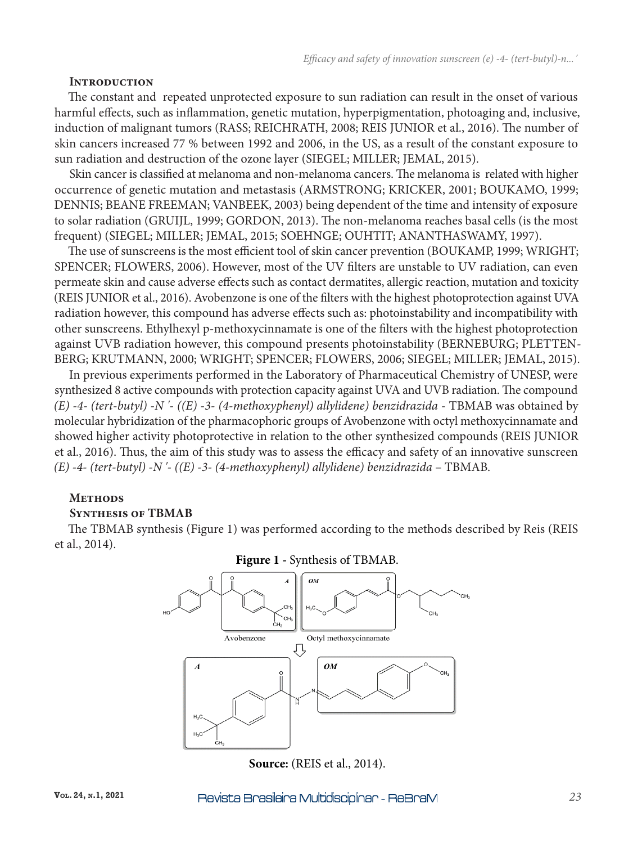### **Introduction**

The constant and repeated unprotected exposure to sun radiation can result in the onset of various harmful effects, such as inflammation, genetic mutation, hyperpigmentation, photoaging and, inclusive, induction of malignant tumors (RASS; REICHRATH, 2008; REIS JUNIOR et al., 2016). The number of skin cancers increased 77 % between 1992 and 2006, in the US, as a result of the constant exposure to sun radiation and destruction of the ozone layer (SIEGEL; MILLER; JEMAL, 2015).

Skin cancer is classified at melanoma and non-melanoma cancers. The melanoma is related with higher occurrence of genetic mutation and metastasis (ARMSTRONG; KRICKER, 2001; BOUKAMO, 1999; DENNIS; BEANE FREEMAN; VANBEEK, 2003) being dependent of the time and intensity of exposure to solar radiation (GRUIJL, 1999; GORDON, 2013). The non-melanoma reaches basal cells (is the most frequent) (SIEGEL; MILLER; JEMAL, 2015; SOEHNGE; OUHTIT; ANANTHASWAMY, 1997).

The use of sunscreens is the most efficient tool of skin cancer prevention (BOUKAMP, 1999; WRIGHT; SPENCER; FLOWERS, 2006). However, most of the UV filters are unstable to UV radiation, can even permeate skin and cause adverse effects such as contact dermatites, allergic reaction, mutation and toxicity (REIS JUNIOR et al., 2016). Avobenzone is one of the filters with the highest photoprotection against UVA radiation however, this compound has adverse effects such as: photoinstability and incompatibility with other sunscreens. Ethylhexyl p-methoxycinnamate is one of the filters with the highest photoprotection against UVB radiation however, this compound presents photoinstability (BERNEBURG; PLETTEN-BERG; KRUTMANN, 2000; WRIGHT; SPENCER; FLOWERS, 2006; SIEGEL; MILLER; JEMAL, 2015).

In previous experiments performed in the Laboratory of Pharmaceutical Chemistry of UNESP, were synthesized 8 active compounds with protection capacity against UVA and UVB radiation. The compound *(E) -4- (tert-butyl) -N '- ((E) -3- (4-methoxyphenyl) allylidene) benzidrazida - TBMAB was obtained by* molecular hybridization of the pharmacophoric groups of Avobenzone with octyl methoxycinnamate and showed higher activity photoprotective in relation to the other synthesized compounds (REIS JUNIOR et al., 2016). Thus, the aim of this study was to assess the efficacy and safety of an innovative sunscreen *(E) -4- (tert-butyl) -N '- ((E) -3- (4-methoxyphenyl) allylidene) benzidrazida* – TBMAB.

### **Methods**

# **Synthesis of TBMAB**

The TBMAB synthesis (Figure 1) was performed according to the methods described by Reis (REIS et al., 2014).



### **Figure 1 -** Synthesis of TBMAB.

**Source:** (REIS et al., 2014).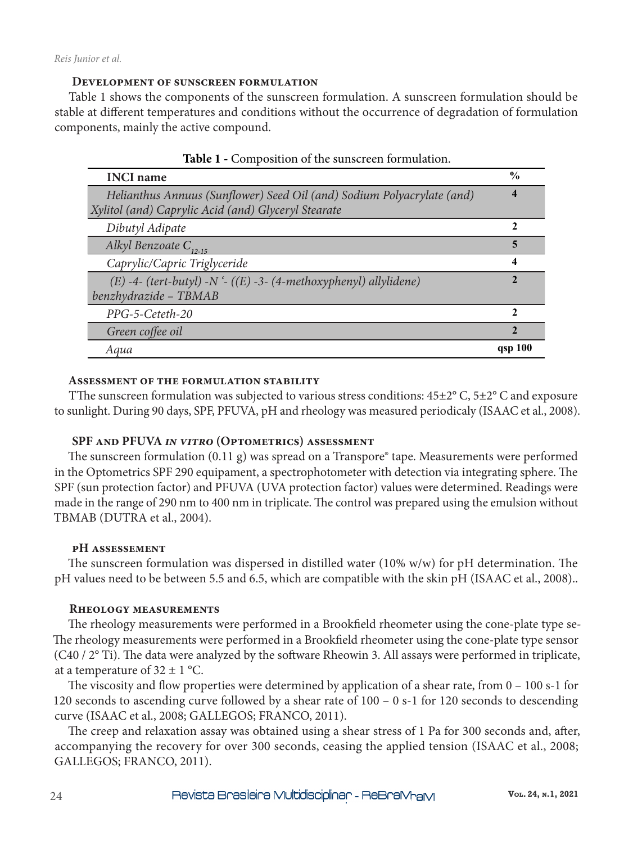### **Development of sunscreen formulation**

Table 1 shows the components of the sunscreen formulation. A sunscreen formulation should be stable at different temperatures and conditions without the occurrence of degradation of formulation components, mainly the active compound.

| <b>INCI</b> name                                                                                                              | $\frac{6}{9}$ |
|-------------------------------------------------------------------------------------------------------------------------------|---------------|
| Helianthus Annuus (Sunflower) Seed Oil (and) Sodium Polyacrylate (and)<br>Xylitol (and) Caprylic Acid (and) Glyceryl Stearate | 4             |
| Dibutyl Adipate                                                                                                               | 2             |
| Alkyl Benzoate $C_{12-15}$                                                                                                    | 5             |
| Caprylic/Capric Triglyceride                                                                                                  | 4             |
| $(E)$ -4- (tert-butyl) -N '- ((E) -3- (4-methoxyphenyl) allylidene)<br>benzhydrazide - TBMAB                                  | 2             |
| PPG-5-Ceteth-20                                                                                                               | 2             |
| Green coffee oil                                                                                                              | $\mathbf{2}$  |
| Aqua                                                                                                                          | qsp 100       |

|  | Table 1 - Composition of the sunscreen formulation. |  |  |  |
|--|-----------------------------------------------------|--|--|--|
|--|-----------------------------------------------------|--|--|--|

### **Assessment of the formulation stability**

TThe sunscreen formulation was subjected to various stress conditions: 45±2° C, 5±2° C and exposure to sunlight. During 90 days, SPF, PFUVA, pH and rheology was measured periodicaly (ISAAC et al., 2008).

# **SPF and PFUVA** *in vitro* **(Optometrics) assessment**

The sunscreen formulation  $(0.11 \text{ g})$  was spread on a Transpore® tape. Measurements were performed in the Optometrics SPF 290 equipament, a spectrophotometer with detection via integrating sphere. The SPF (sun protection factor) and PFUVA (UVA protection factor) values were determined. Readings were made in the range of 290 nm to 400 nm in triplicate. The control was prepared using the emulsion without TBMAB (DUTRA et al., 2004).

### **pH assessement**

The sunscreen formulation was dispersed in distilled water (10% w/w) for pH determination. The pH values need to be between 5.5 and 6.5, which are compatible with the skin pH (ISAAC et al., 2008)..

### **Rheology measurements**

The rheology measurements were performed in a Brookfield rheometer using the cone-plate type se-The rheology measurements were performed in a Brookfield rheometer using the cone-plate type sensor (C40 / 2° Ti). The data were analyzed by the software Rheowin 3. All assays were performed in triplicate, at a temperature of  $32 \pm 1$  °C.

The viscosity and flow properties were determined by application of a shear rate, from 0 – 100 s-1 for 120 seconds to ascending curve followed by a shear rate of 100 – 0 s-1 for 120 seconds to descending curve (ISAAC et al., 2008; GALLEGOS; FRANCO, 2011).

The creep and relaxation assay was obtained using a shear stress of 1 Pa for 300 seconds and, after, accompanying the recovery for over 300 seconds, ceasing the applied tension (ISAAC et al., 2008; GALLEGOS; FRANCO, 2011).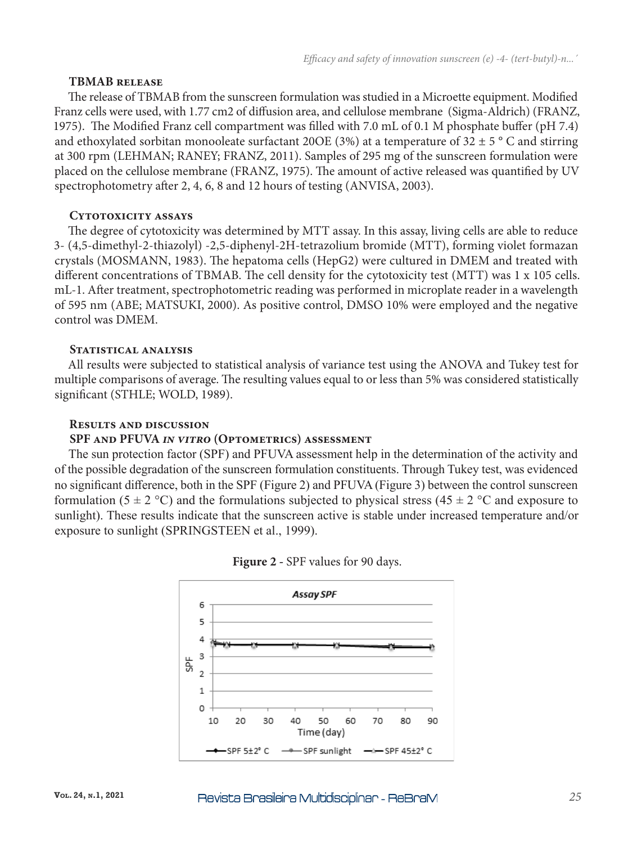### **TBMAB release**

The release of TBMAB from the sunscreen formulation was studied in a Microette equipment. Modified Franz cells were used, with 1.77 cm2 of diffusion area, and cellulose membrane (Sigma-Aldrich) (FRANZ, 1975). The Modified Franz cell compartment was filled with 7.0 mL of 0.1 M phosphate buffer (pH 7.4) and ethoxylated sorbitan monooleate surfactant 200E (3%) at a temperature of 32  $\pm$  5  $\degree$  C and stirring at 300 rpm (LEHMAN; RANEY; FRANZ, 2011). Samples of 295 mg of the sunscreen formulation were placed on the cellulose membrane (FRANZ, 1975). The amount of active released was quantified by UV spectrophotometry after 2, 4, 6, 8 and 12 hours of testing (ANVISA, 2003).

### **Cytotoxicity assays**

The degree of cytotoxicity was determined by MTT assay. In this assay, living cells are able to reduce 3- (4,5-dimethyl-2-thiazolyl) -2,5-diphenyl-2H-tetrazolium bromide (MTT), forming violet formazan crystals (MOSMANN, 1983). The hepatoma cells (HepG2) were cultured in DMEM and treated with different concentrations of TBMAB. The cell density for the cytotoxicity test (MTT) was 1 x 105 cells. mL-1. After treatment, spectrophotometric reading was performed in microplate reader in a wavelength of 595 nm (ABE; MATSUKI, 2000). As positive control, DMSO 10% were employed and the negative control was DMEM.

### **Statistical analysis**

All results were subjected to statistical analysis of variance test using the ANOVA and Tukey test for multiple comparisons of average. The resulting values equal to or less than 5% was considered statistically significant (STHLE; WOLD, 1989).

### **Results and discussion**

### **SPF and PFUVA** *in vitro* **(Optometrics) assessment**

The sun protection factor (SPF) and PFUVA assessment help in the determination of the activity and of the possible degradation of the sunscreen formulation constituents. Through Tukey test, was evidenced no significant difference, both in the SPF (Figure 2) and PFUVA (Figure 3) between the control sunscreen formulation (5  $\pm$  2 °C) and the formulations subjected to physical stress (45  $\pm$  2 °C and exposure to sunlight). These results indicate that the sunscreen active is stable under increased temperature and/or exposure to sunlight (SPRINGSTEEN et al., 1999).



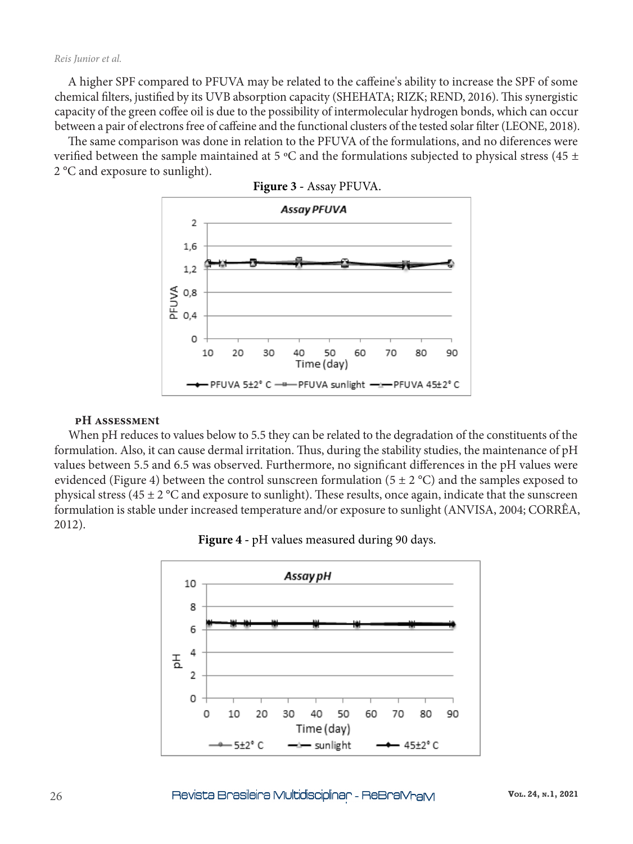#### *Reis Junior et al.*

A higher SPF compared to PFUVA may be related to the caffeine's ability to increase the SPF of some chemical filters, justified by its UVB absorption capacity (SHEHATA; RIZK; REND, 2016). This synergistic capacity of the green coffee oil is due to the possibility of intermolecular hydrogen bonds, which can occur between a pair of electrons free of caffeine and the functional clusters of the tested solar filter (LEONE, 2018).

The same comparison was done in relation to the PFUVA of the formulations, and no diferences were verified between the sample maintained at 5 °C and the formulations subjected to physical stress (45 ± 2 °C and exposure to sunlight).





#### **pH assessment**

When pH reduces to values below to 5.5 they can be related to the degradation of the constituents of the formulation. Also, it can cause dermal irritation. Thus, during the stability studies, the maintenance of pH values between 5.5 and 6.5 was observed. Furthermore, no significant differences in the pH values were evidenced (Figure 4) between the control sunscreen formulation ( $5 \pm 2$  °C) and the samples exposed to physical stress (45  $\pm$  2 °C and exposure to sunlight). These results, once again, indicate that the sunscreen formulation is stable under increased temperature and/or exposure to sunlight (ANVISA, 2004; CORRÊA, 2012).

**Figure 4 -** pH values measured during 90 days.

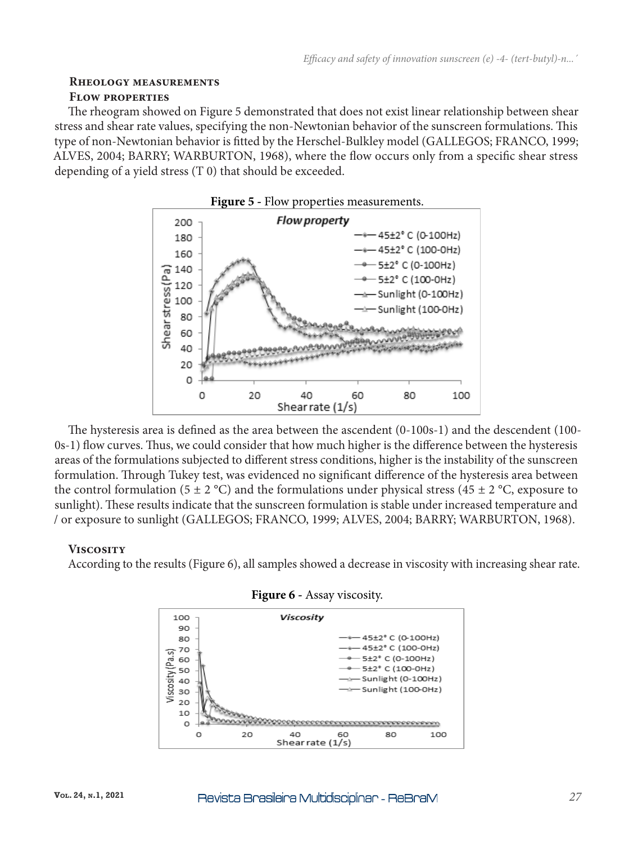# **Rheology measurements**

# **Flow properties**

The rheogram showed on Figure 5 demonstrated that does not exist linear relationship between shear stress and shear rate values, specifying the non-Newtonian behavior of the sunscreen formulations. This type of non-Newtonian behavior is fitted by the Herschel-Bulkley model (GALLEGOS; FRANCO, 1999; ALVES, 2004; BARRY; WARBURTON, 1968), where the flow occurs only from a specific shear stress depending of a yield stress (T 0) that should be exceeded.



The hysteresis area is defined as the area between the ascendent (0-100s-1) and the descendent (100- 0s-1) flow curves. Thus, we could consider that how much higher is the difference between the hysteresis areas of the formulations subjected to different stress conditions, higher is the instability of the sunscreen formulation. Through Tukey test, was evidenced no significant difference of the hysteresis area between the control formulation (5  $\pm$  2 °C) and the formulations under physical stress (45  $\pm$  2 °C, exposure to sunlight). These results indicate that the sunscreen formulation is stable under increased temperature and / or exposure to sunlight (GALLEGOS; FRANCO, 1999; ALVES, 2004; BARRY; WARBURTON, 1968).

# **Viscosity**

According to the results (Figure 6), all samples showed a decrease in viscosity with increasing shear rate.



### **Figure 6 -** Assay viscosity.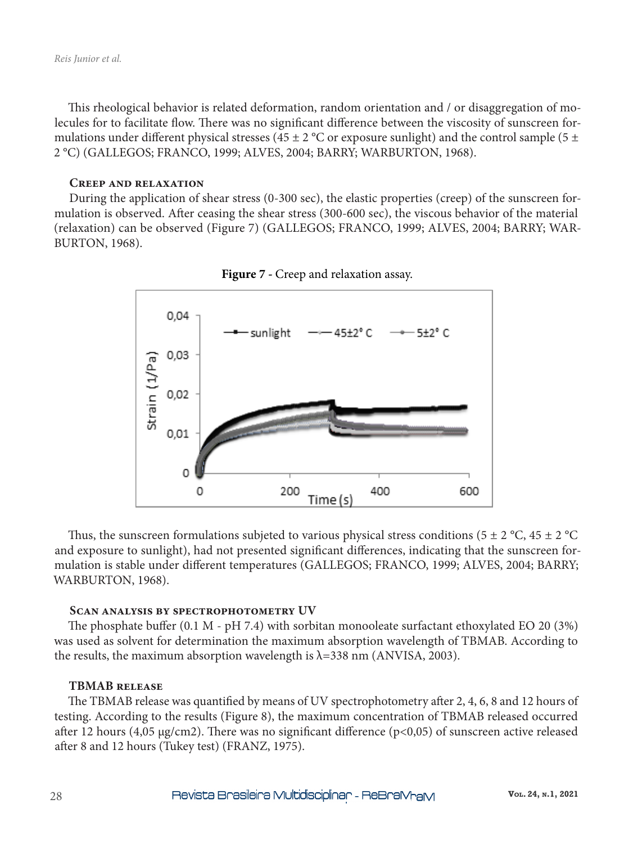This rheological behavior is related deformation, random orientation and / or disaggregation of molecules for to facilitate flow. There was no significant difference between the viscosity of sunscreen formulations under different physical stresses (45  $\pm$  2 °C or exposure sunlight) and the control sample (5  $\pm$ 2 °C) (GALLEGOS; FRANCO, 1999; ALVES, 2004; BARRY; WARBURTON, 1968).

### **Creep and relaxation**

During the application of shear stress (0-300 sec), the elastic properties (creep) of the sunscreen formulation is observed. After ceasing the shear stress (300-600 sec), the viscous behavior of the material (relaxation) can be observed (Figure 7) (GALLEGOS; FRANCO, 1999; ALVES, 2004; BARRY; WAR-BURTON, 1968).



**Figure 7 -** Creep and relaxation assay.

Thus, the sunscreen formulations subjeted to various physical stress conditions (5  $\pm$  2 °C, 45  $\pm$  2 °C and exposure to sunlight), had not presented significant differences, indicating that the sunscreen formulation is stable under different temperatures (GALLEGOS; FRANCO, 1999; ALVES, 2004; BARRY; WARBURTON, 1968).

#### **Scan analysis by spectrophotometry UV**

The phosphate buffer (0.1 M - pH 7.4) with sorbitan monooleate surfactant ethoxylated EO 20 (3%) was used as solvent for determination the maximum absorption wavelength of TBMAB. According to the results, the maximum absorption wavelength is  $\lambda$ =338 nm (ANVISA, 2003).

### **TBMAB release**

The TBMAB release was quantified by means of UV spectrophotometry after 2, 4, 6, 8 and 12 hours of testing. According to the results (Figure 8), the maximum concentration of TBMAB released occurred after 12 hours (4,05  $\mu$ g/cm2). There was no significant difference (p<0,05) of sunscreen active released after 8 and 12 hours (Tukey test) (FRANZ, 1975).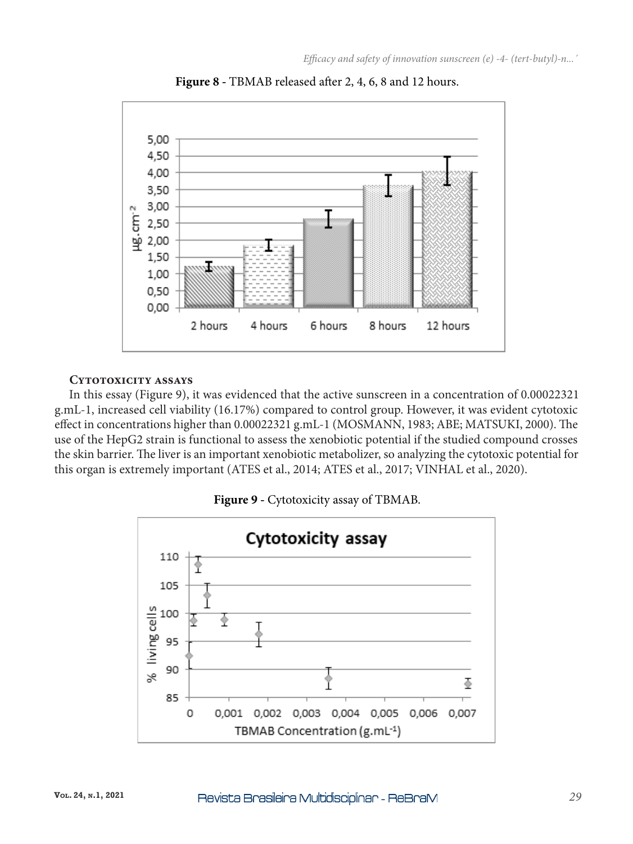

**Figure 8 -** TBMAB released after 2, 4, 6, 8 and 12 hours.

### **Cytotoxicity assays**

In this essay (Figure 9), it was evidenced that the active sunscreen in a concentration of 0.00022321 g.mL-1, increased cell viability (16.17%) compared to control group. However, it was evident cytotoxic effect in concentrations higher than 0.00022321 g.mL-1 (MOSMANN, 1983; ABE; MATSUKI, 2000). The use of the HepG2 strain is functional to assess the xenobiotic potential if the studied compound crosses the skin barrier. The liver is an important xenobiotic metabolizer, so analyzing the cytotoxic potential for this organ is extremely important (ATES et al., 2014; ATES et al., 2017; VINHAL et al., 2020).



**Figure 9 -** Cytotoxicity assay of TBMAB.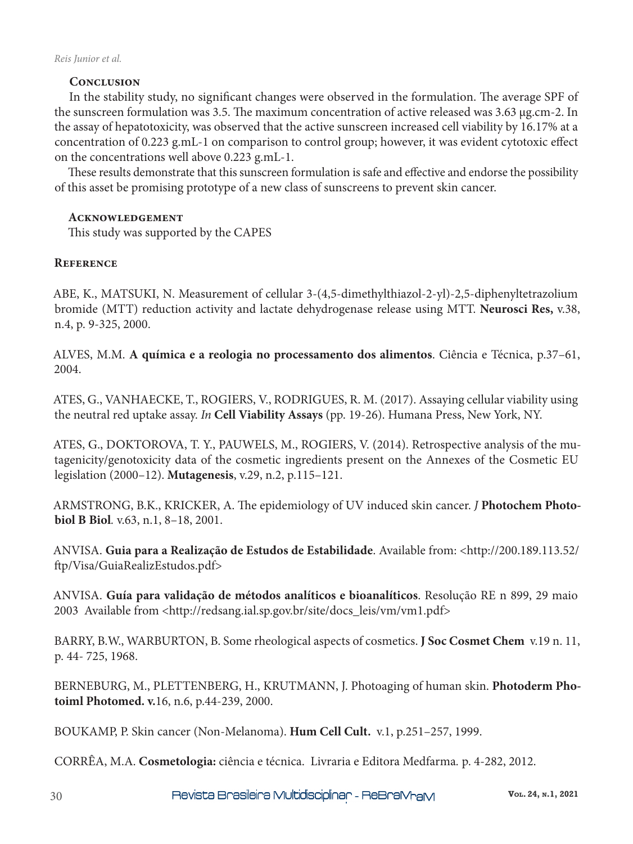# **Conclusion**

In the stability study, no significant changes were observed in the formulation. The average SPF of the sunscreen formulation was 3.5. The maximum concentration of active released was 3.63 µg.cm-2. In the assay of hepatotoxicity, was observed that the active sunscreen increased cell viability by 16.17% at a concentration of 0.223 g.mL-1 on comparison to control group; however, it was evident cytotoxic effect on the concentrations well above 0.223 g.mL-1.

These results demonstrate that this sunscreen formulation is safe and effective and endorse the possibility of this asset be promising prototype of a new class of sunscreens to prevent skin cancer.

# **Acknowledgement**

This study was supported by the CAPES

# **Reference**

ABE, K., MATSUKI, N. Measurement of cellular 3-(4,5-dimethylthiazol-2-yl)-2,5-diphenyltetrazolium bromide (MTT) reduction activity and lactate dehydrogenase release using MTT. **Neurosci Res,** v.38, n.4, p. 9-325, 2000.

ALVES, M.M. **A química e a reologia no processamento dos alimentos**. Ciência e Técnica, p.37–61, 2004.

ATES, G., VANHAECKE, T., ROGIERS, V., RODRIGUES, R. M. (2017). Assaying cellular viability using the neutral red uptake assay. *In* **Cell Viability Assays** (pp. 19-26). Humana Press, New York, NY.

ATES, G., DOKTOROVA, T. Y., PAUWELS, M., ROGIERS, V. (2014). Retrospective analysis of the mutagenicity/genotoxicity data of the cosmetic ingredients present on the Annexes of the Cosmetic EU legislation (2000–12). **Mutagenesis**, v.29, n.2, p.115–121.

ARMSTRONG, B.K., KRICKER, A. The epidemiology of UV induced skin cancer. *J* **Photochem Photobiol B Biol***.* v.63, n.1, 8–18, 2001.

ANVISA. **Guia para a Realização de Estudos de Estabilidade**. Available from: <http://200.189.113.52/ ftp/Visa/GuiaRealizEstudos.pdf>

ANVISA. **Guía para validação de métodos analíticos e bioanalíticos**. Resolução RE n 899, 29 maio 2003 Available from <http://redsang.ial.sp.gov.br/site/docs\_leis/vm/vm1.pdf>

BARRY, B.W., WARBURTON, B. Some rheological aspects of cosmetics. **J Soc Cosmet Chem** v.19 n. 11, p. 44- 725, 1968.

BERNEBURG, M., PLETTENBERG, H., KRUTMANN, J. Photoaging of human skin. **Photoderm Photoiml Photomed. v.**16, n.6, p.44-239, 2000.

BOUKAMP, P. Skin cancer (Non-Melanoma). **Hum Cell Cult.** v.1, p.251–257, 1999.

CORRÊA, M.A. **Cosmetologia:** ciência e técnica. Livraria e Editora Medfarma*.* p. 4-282, 2012.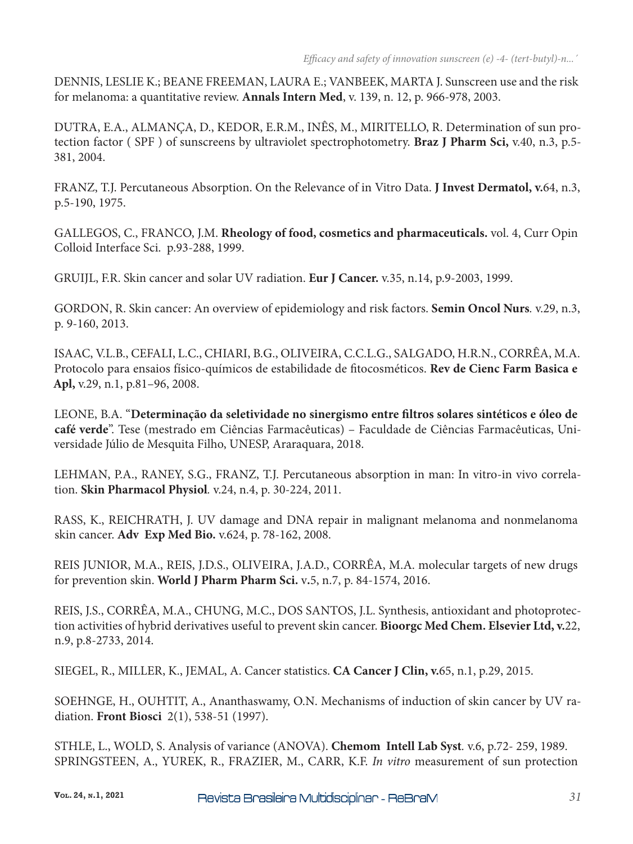DENNIS, LESLIE K.; BEANE FREEMAN, LAURA E.; VANBEEK, MARTA J. Sunscreen use and the risk for melanoma: a quantitative review. **Annals Intern Med**, v. 139, n. 12, p. 966-978, 2003.

DUTRA, E.A., ALMANÇA, D., KEDOR, E.R.M., INÊS, M., MIRITELLO, R. Determination of sun protection factor ( SPF ) of sunscreens by ultraviolet spectrophotometry. **Braz J Pharm Sci,** v.40, n.3, p.5- 381, 2004.

FRANZ, T.J. Percutaneous Absorption. On the Relevance of in Vitro Data. **J Invest Dermatol, v.**64, n.3, p.5-190, 1975.

GALLEGOS, C., FRANCO, J.M. **Rheology of food, cosmetics and pharmaceuticals.** vol. 4, Curr Opin Colloid Interface Sci. p.93-288, 1999.

GRUIJL, F.R. Skin cancer and solar UV radiation. **Eur J Cancer.** v.35, n.14, p.9-2003, 1999.

GORDON, R. Skin cancer: An overview of epidemiology and risk factors. **Semin Oncol Nurs***.* v.29, n.3, p. 9-160, 2013.

ISAAC, V.L.B., CEFALI, L.C., CHIARI, B.G., OLIVEIRA, C.C.L.G., SALGADO, H.R.N., CORRÊA, M.A. Protocolo para ensaios físico-químicos de estabilidade de fitocosméticos. **Rev de Cienc Farm Basica e Apl,** v.29, n.1, p.81–96, 2008.

LEONE, B.A. "**Determinação da seletividade no sinergismo entre filtros solares sintéticos e óleo de café verde**". Tese (mestrado em Ciências Farmacêuticas) – Faculdade de Ciências Farmacêuticas, Universidade Júlio de Mesquita Filho, UNESP, Araraquara, 2018.

LEHMAN, P.A., RANEY, S.G., FRANZ, T.J. Percutaneous absorption in man: In vitro-in vivo correlation. **Skin Pharmacol Physiol***.* v.24, n.4, p. 30-224, 2011.

RASS, K., REICHRATH, J. UV damage and DNA repair in malignant melanoma and nonmelanoma skin cancer. **Adv Exp Med Bio.** v.624, p. 78-162, 2008.

REIS JUNIOR, M.A., REIS, J.D.S., OLIVEIRA, J.A.D., CORRÊA, M.A. molecular targets of new drugs for prevention skin. **World J Pharm Pharm Sci.** v**.**5, n.7, p. 84-1574, 2016.

REIS, J.S., CORRÊA, M.A., CHUNG, M.C., DOS SANTOS, J.L. Synthesis, antioxidant and photoprotection activities of hybrid derivatives useful to prevent skin cancer. **Bioorgc Med Chem. Elsevier Ltd, v.**22, n.9, p.8-2733, 2014.

SIEGEL, R., MILLER, K., JEMAL, A. Cancer statistics. **CA Cancer J Clin, v.**65, n.1, p.29, 2015.

SOEHNGE, H., OUHTIT, A., Ananthaswamy, O.N. Mechanisms of induction of skin cancer by UV radiation. **Front Biosci** 2(1), 538-51 (1997).

STHLE, L., WOLD, S. Analysis of variance (ANOVA). **Chemom Intell Lab Syst***.* v.6, p.72- 259, 1989. SPRINGSTEEN, A., YUREK, R., FRAZIER, M., CARR, K.F. *In vitro* measurement of sun protection